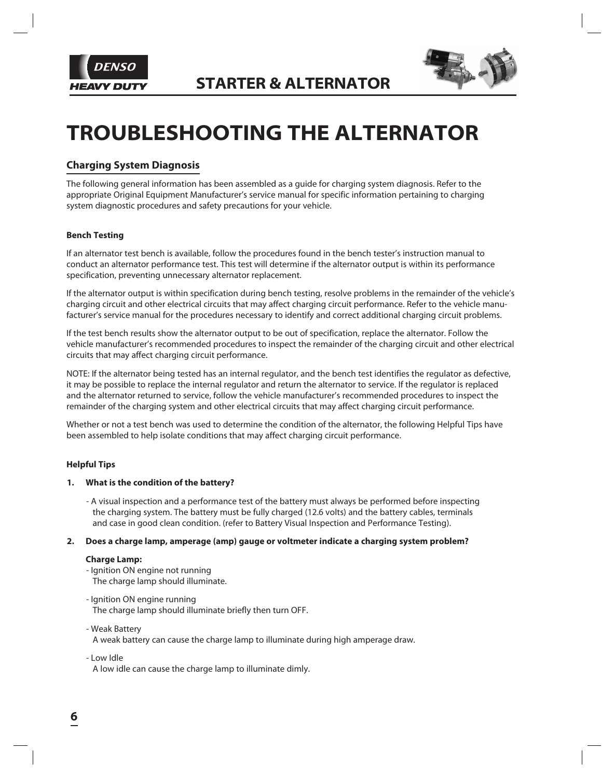



# **TROUBLESHOOTING THE ALTERNATOR**

### **Charging System Diagnosis**

The following general information has been assembled as a guide for charging system diagnosis. Refer to the appropriate Original Equipment Manufacturer's service manual for specific information pertaining to charging system diagnostic procedures and safety precautions for your vehicle.

#### **Bench Testing**

If an alternator test bench is available, follow the procedures found in the bench tester's instruction manual to conduct an alternator performance test. This test will determine if the alternator output is within its performance specification, preventing unnecessary alternator replacement.

If the alternator output is within specification during bench testing, resolve problems in the remainder of the vehicle's charging circuit and other electrical circuits that may affect charging circuit performance. Refer to the vehicle manufacturer's service manual for the procedures necessary to identify and correct additional charging circuit problems.

If the test bench results show the alternator output to be out of specification, replace the alternator. Follow the vehicle manufacturer's recommended procedures to inspect the remainder of the charging circuit and other electrical circuits that may affect charging circuit performance.

NOTE: If the alternator being tested has an internal regulator, and the bench test identifies the regulator as defective, it may be possible to replace the internal regulator and return the alternator to service. If the regulator is replaced and the alternator returned to service, follow the vehicle manufacturer's recommended procedures to inspect the remainder of the charging system and other electrical circuits that may affect charging circuit performance.

Whether or not a test bench was used to determine the condition of the alternator, the following Helpful Tips have been assembled to help isolate conditions that may affect charging circuit performance.

#### **Helpful Tips**

#### **1. What is the condition of the battery?**

- A visual inspection and a performance test of the battery must always be performed before inspecting the charging system. The battery must be fully charged (12.6 volts) and the battery cables, terminals and case in good clean condition. (refer to Battery Visual Inspection and Performance Testing).

#### **2. Does a charge lamp, amperage (amp) gauge or voltmeter indicate a charging system problem?**

#### **Charge Lamp:**

- Ignition ON engine not running The charge lamp should illuminate.
- Ignition ON engine running The charge lamp should illuminate briefly then turn OFF.
- Weak Battery

A weak battery can cause the charge lamp to illuminate during high amperage draw.

- Low Idle

A low idle can cause the charge lamp to illuminate dimly.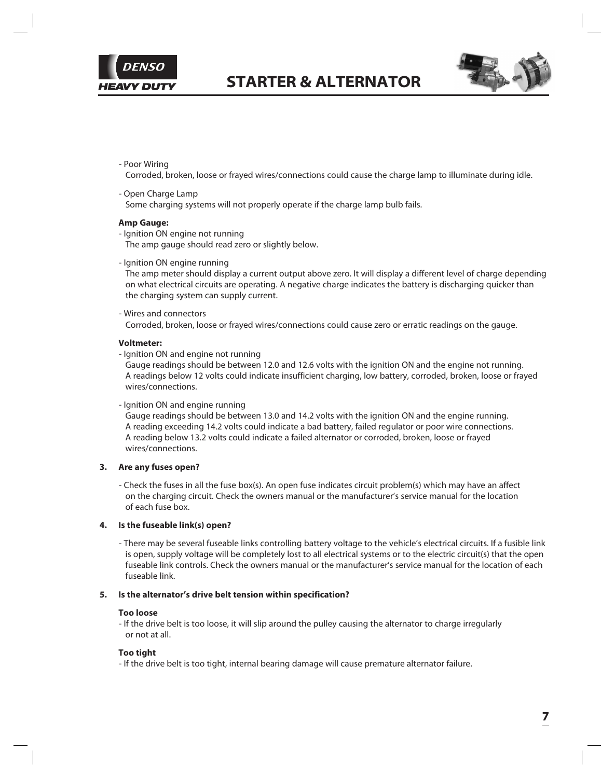



- Poor Wiring

Corroded, broken, loose or frayed wires/connections could cause the charge lamp to illuminate during idle.

- Open Charge Lamp Some charging systems will not properly operate if the charge lamp bulb fails.

#### **Amp Gauge:**

- Ignition ON engine not running The amp gauge should read zero or slightly below.
- Ignition ON engine running

The amp meter should display a current output above zero. It will display a different level of charge depending on what electrical circuits are operating. A negative charge indicates the battery is discharging quicker than the charging system can supply current.

- Wires and connectors

Corroded, broken, loose or frayed wires/connections could cause zero or erratic readings on the gauge.

#### **Voltmeter:**

- Ignition ON and engine not running

Gauge readings should be between 12.0 and 12.6 volts with the ignition ON and the engine not running. A readings below 12 volts could indicate insufficient charging, low battery, corroded, broken, loose or frayed wires/connections.

#### - Ignition ON and engine running

Gauge readings should be between 13.0 and 14.2 volts with the ignition ON and the engine running. A reading exceeding 14.2 volts could indicate a bad battery, failed regulator or poor wire connections. A reading below 13.2 volts could indicate a failed alternator or corroded, broken, loose or frayed wires/connections.

#### **3. Are any fuses open?**

- Check the fuses in all the fuse box(s). An open fuse indicates circuit problem(s) which may have an affect on the charging circuit. Check the owners manual or the manufacturer's service manual for the location of each fuse box.

#### **4. Is the fuseable link(s) open?**

- There may be several fuseable links controlling battery voltage to the vehicle's electrical circuits. If a fusible link is open, supply voltage will be completely lost to all electrical systems or to the electric circuit(s) that the open fuseable link controls. Check the owners manual or the manufacturer's service manual for the location of each fuseable link.

#### **5. Is the alternator's drive belt tension within specification?**

#### **Too loose**

- If the drive belt is too loose, it will slip around the pulley causing the alternator to charge irregularly or not at all.

#### **Too tight**

- If the drive belt is too tight, internal bearing damage will cause premature alternator failure.